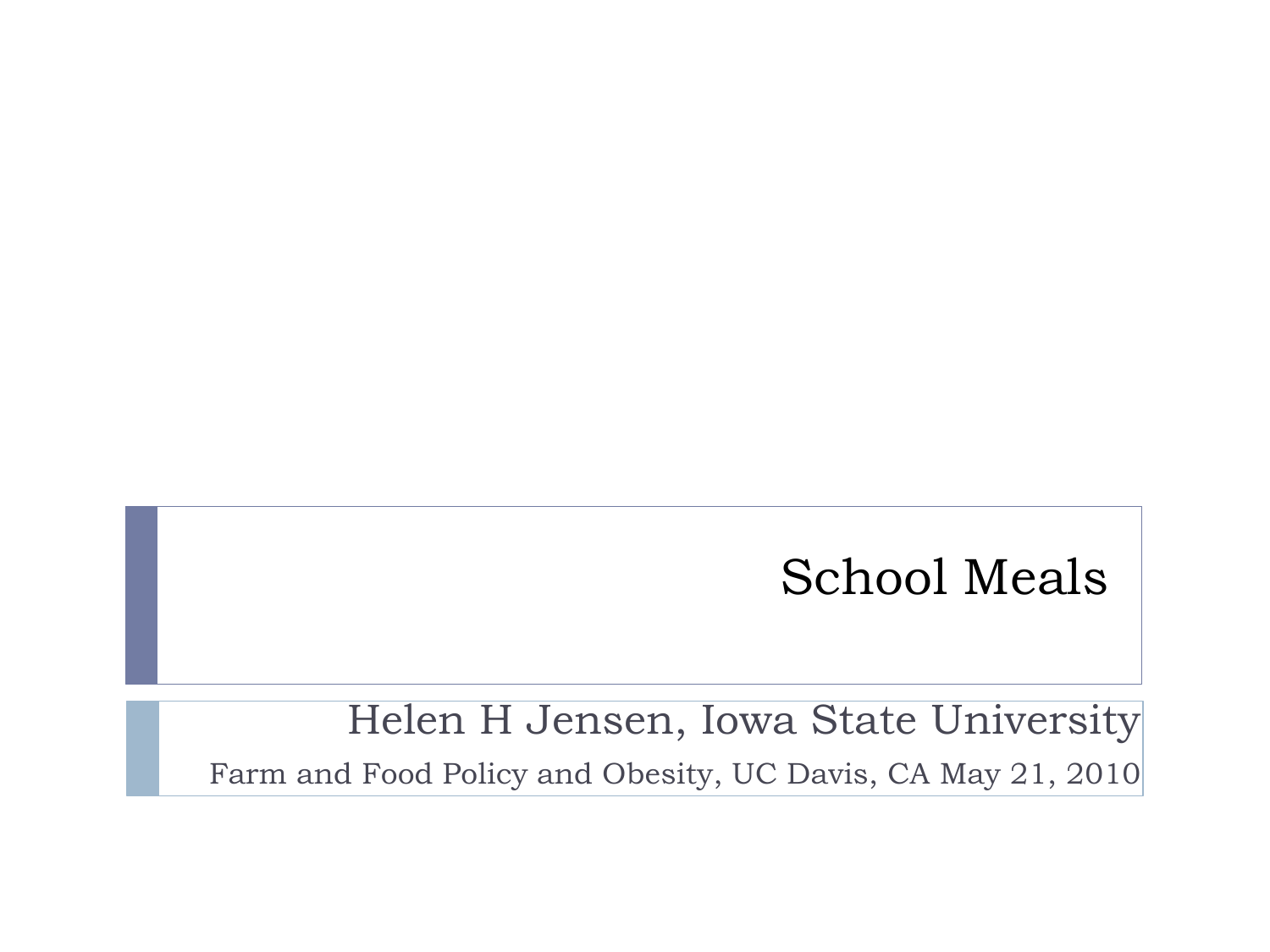#### School Meals

Helen H Jensen, Iowa State University Farm and Food Policy and Obesity, UC Davis, CA May 21, 2010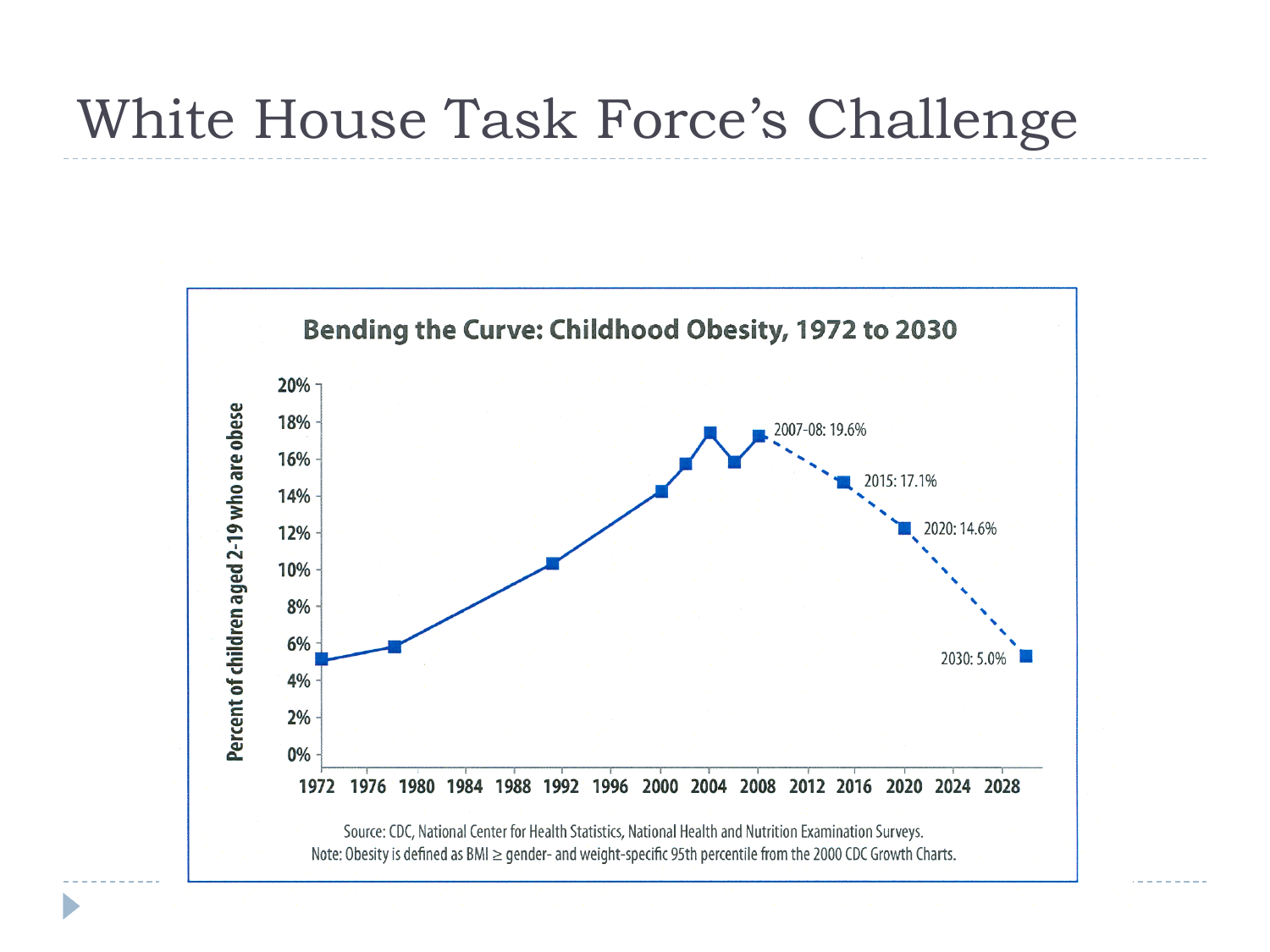## White House Task Force's Challenge

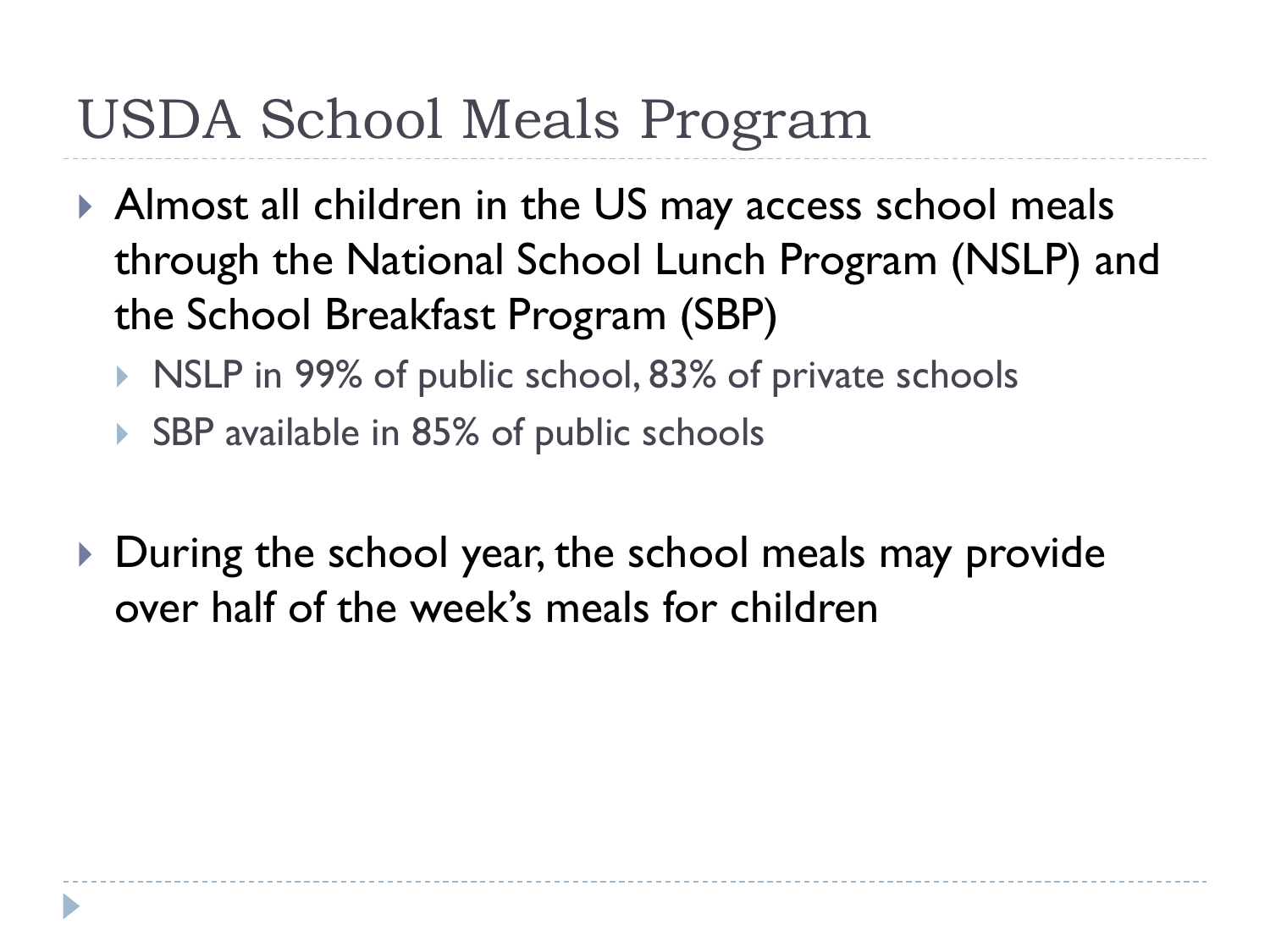# USDA School Meals Program

- Almost all children in the US may access school meals through the National School Lunch Program (NSLP) and the School Breakfast Program (SBP)
	- NICP in 99% of public school, 83% of private schools
	- ▶ SBP available in 85% of public schools
- During the school year, the school meals may provide over half of the week's meals for children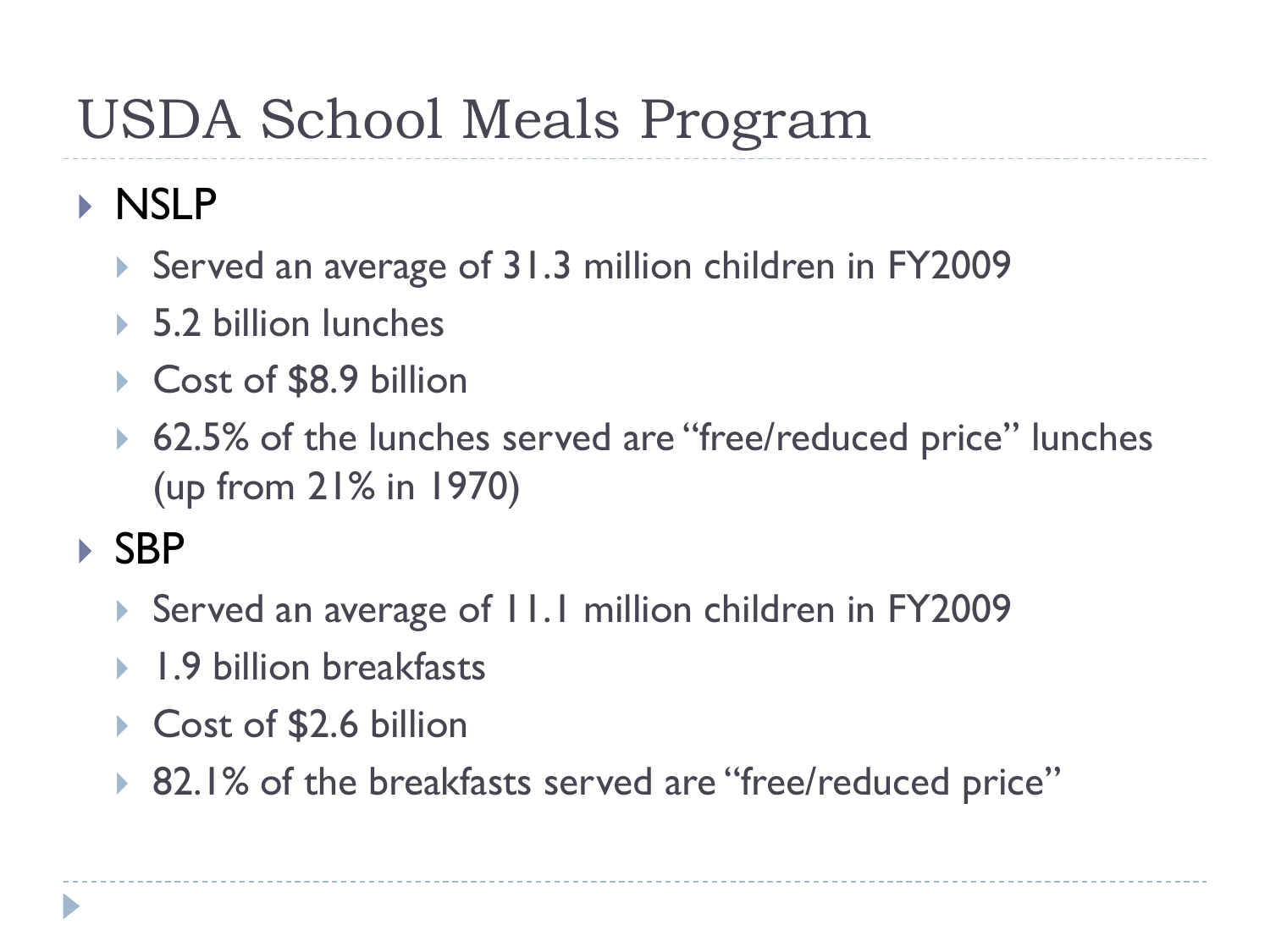# USDA School Meals Program

#### **NSLP**

- ▶ Served an average of 31.3 million children in FY2009
- ▶ 5.2 billion lunches
- ▶ Cost of \$8.9 billion
- ▶ 62.5% of the lunches served are "free/reduced price" lunches (up from 21% in 1970)

#### ▶ SBP

- ▶ Served an average of II.I million children in FY2009
- **1.9 billion breakfasts**
- ▶ Cost of \$2.6 billion
- ▶ 82.1% of the breakfasts served are "free/reduced price"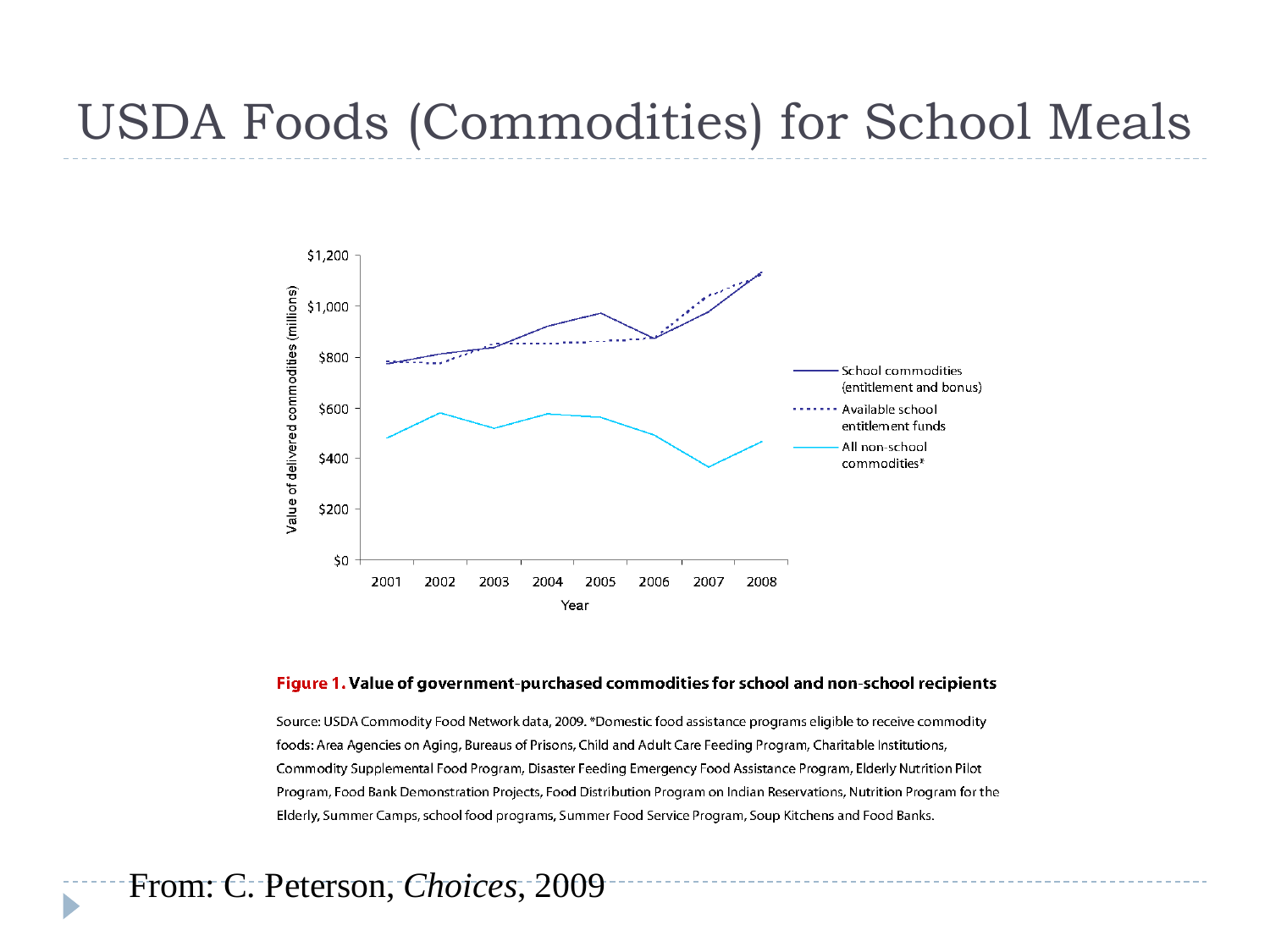#### USDA Foods (Commodities) for School Meals



#### Figure 1. Value of government-purchased commodities for school and non-school recipients

Source: USDA Commodity Food Network data, 2009. \*Domestic food assistance programs eligible to receive commodity foods: Area Agencies on Aging, Bureaus of Prisons, Child and Adult Care Feeding Program, Charitable Institutions, Commodity Supplemental Food Program, Disaster Feeding Emergency Food Assistance Program, Elderly Nutrition Pilot Program, Food Bank Demonstration Projects, Food Distribution Program on Indian Reservations, Nutrition Program for the Elderly, Summer Camps, school food programs, Summer Food Service Program, Soup Kitchens and Food Banks.

From: C. Peterson, *Choices*, 2009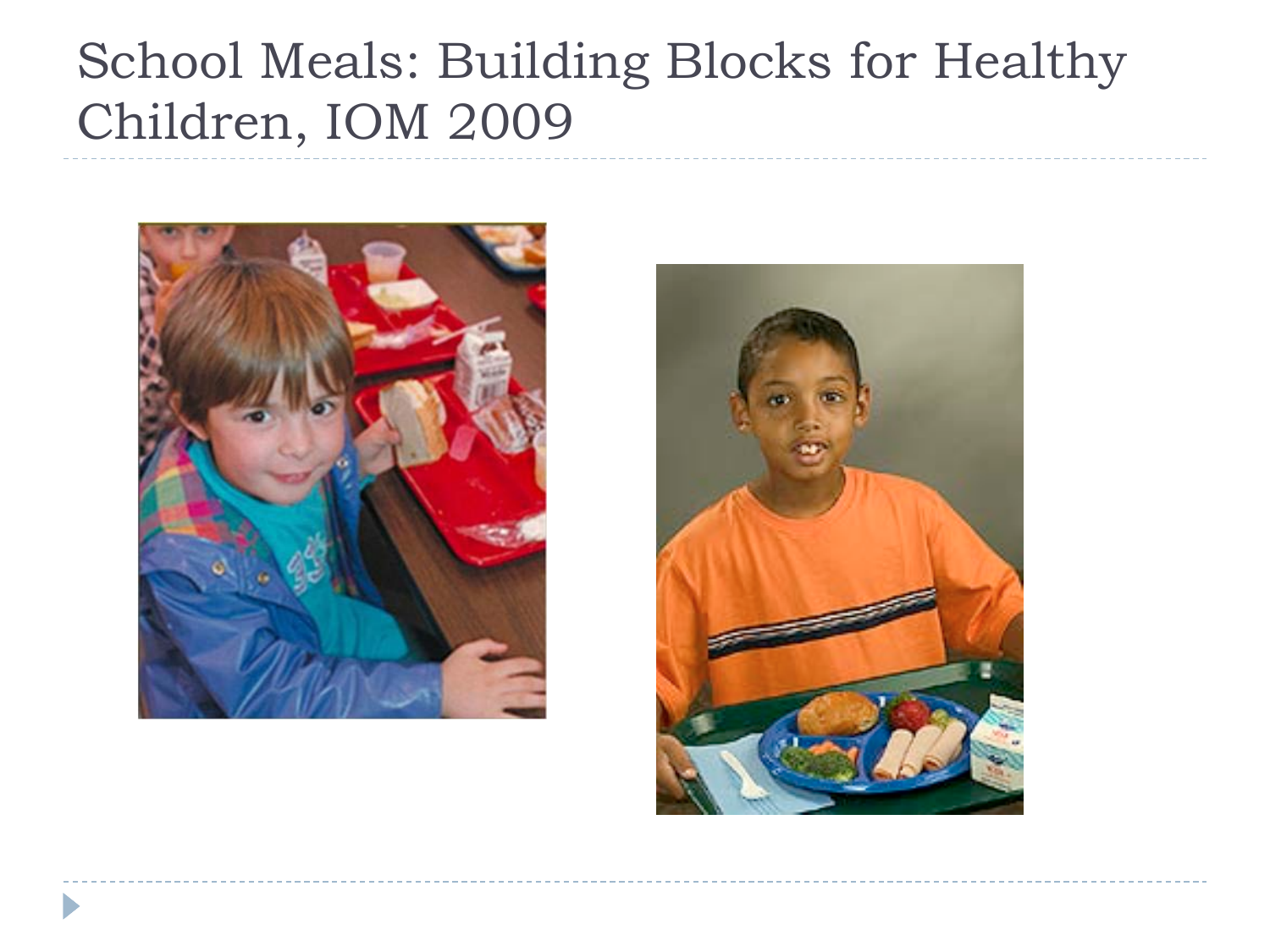## School Meals: Building Blocks for Healthy Children, IOM 2009



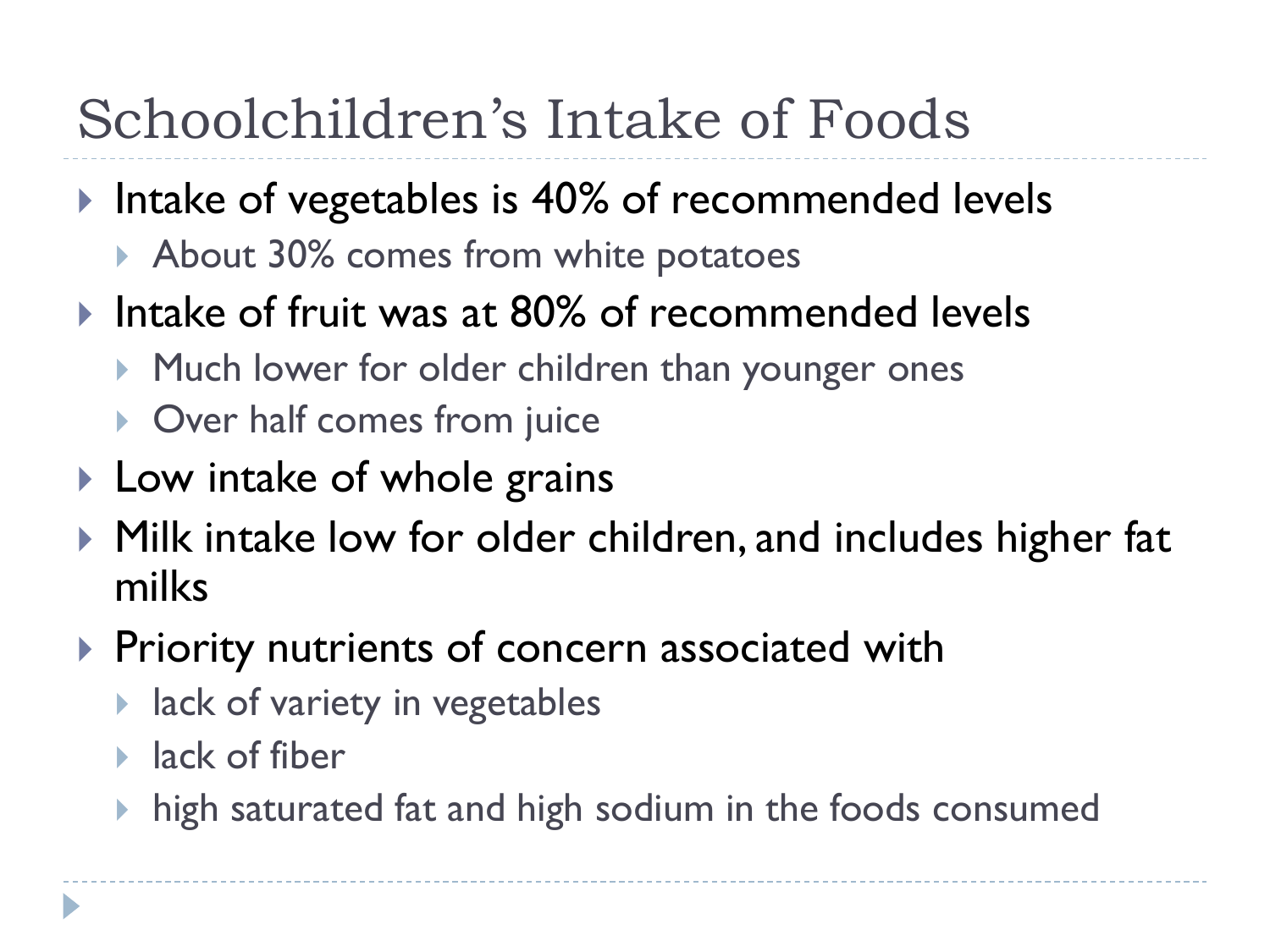# Schoolchildren's Intake of Foods

- Intake of vegetables is 40% of recommended levels
	- About 30% comes from white potatoes
- Intake of fruit was at 80% of recommended levels
	- Much lower for older children than younger ones
	- ▶ Over half comes from juice
- ▶ Low intake of whole grains
- ▶ Milk intake low for older children, and includes higher fat milks
- **Priority nutrients of concern associated with** 
	- **If** lack of variety in vegetables
	- $\blacktriangleright$  lack of fiber
	- $\blacktriangleright$  high saturated fat and high sodium in the foods consumed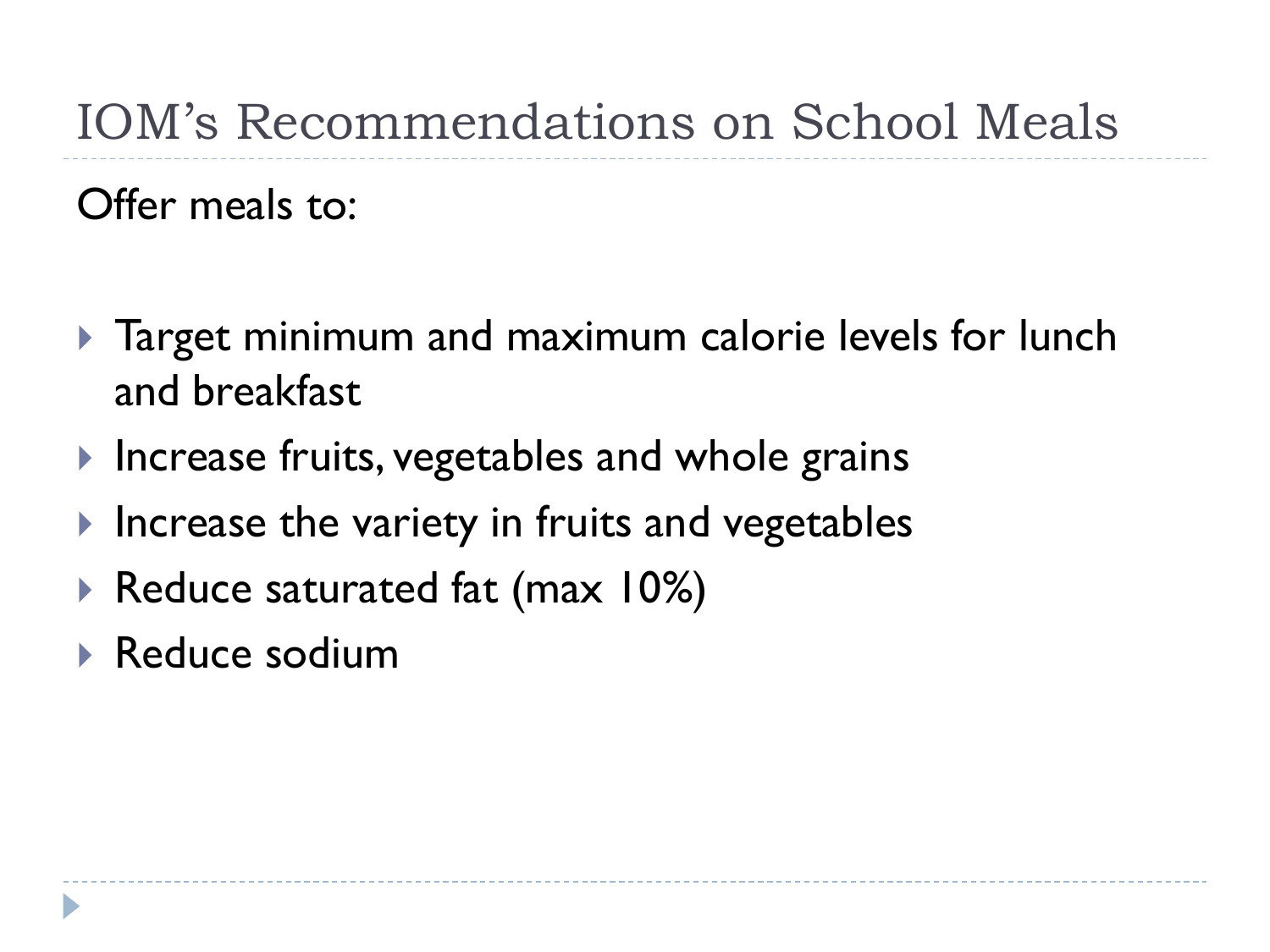## IOM's Recommendations on School Meals

Offer meals to:

- **Target minimum and maximum calorie levels for lunch** and breakfast
- Increase fruits, vegetables and whole grains
- $\blacktriangleright$  Increase the variety in fruits and vegetables
- ▶ Reduce saturated fat (max 10%)
- Reduce sodium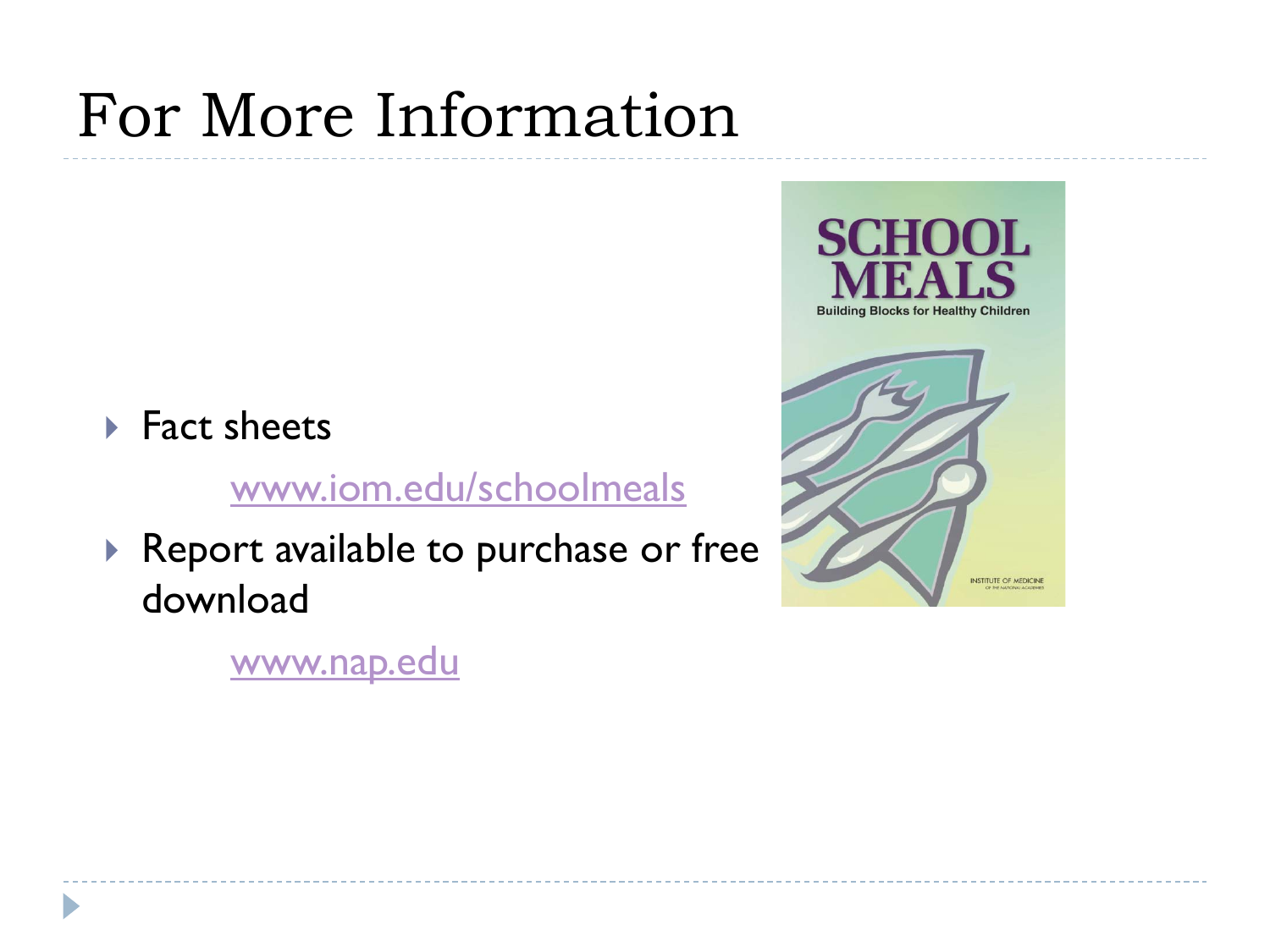# For More Information

#### ▶ Fact sheets

[www.iom.edu/schoolmeals](http://www.iom.edu/schoolmeals)

▶ Report available to purchase or free download

**Building Blocks for Healthy Children** 

OOL.

SCH

**INSTITUTE OF MEDICINE** 

[www.nap.edu](http://www.nap.edu/)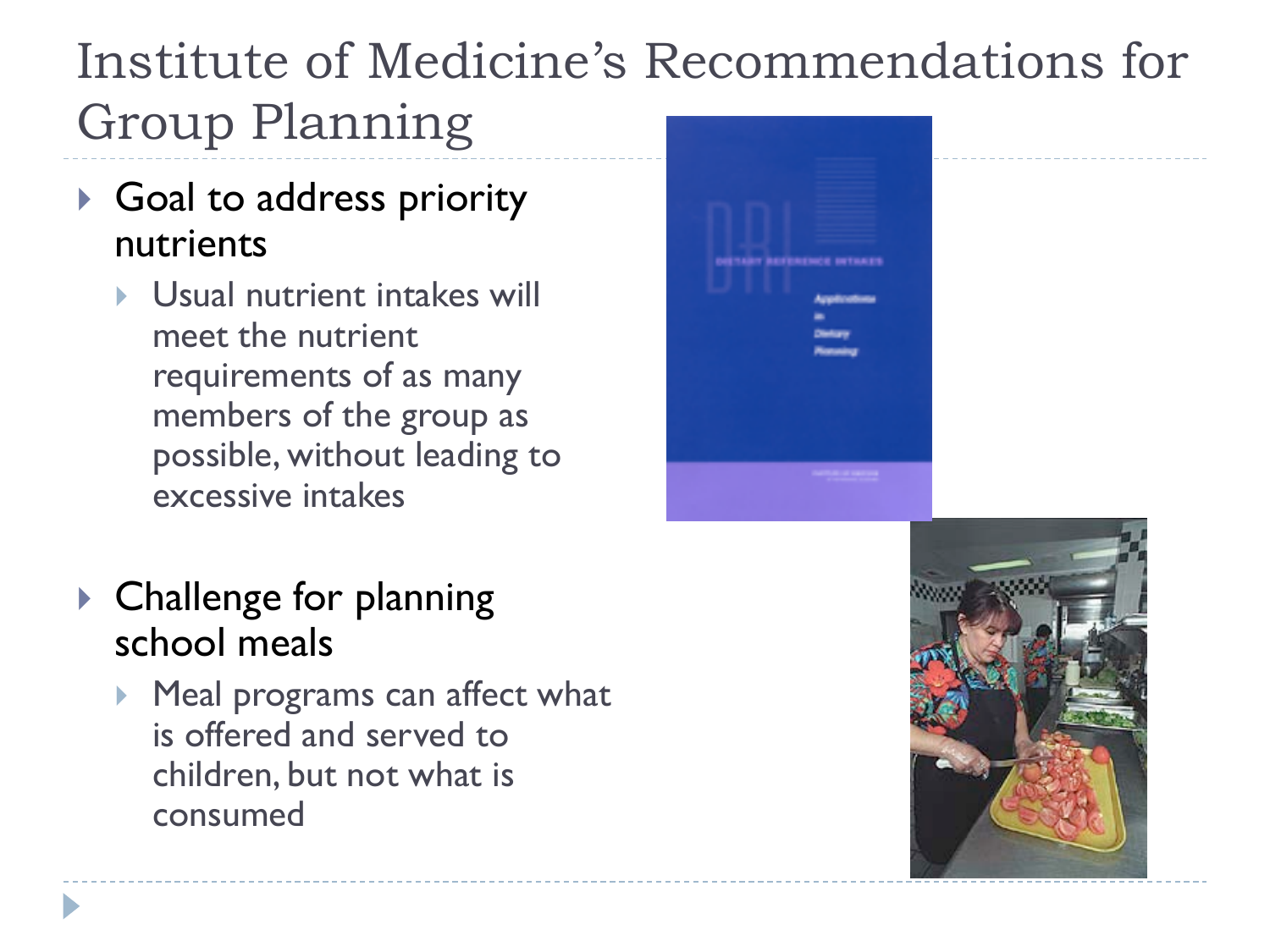# Institute of Medicine's Recommendations for Group Planning

- Goal to address priority nutrients
	- ▶ Usual nutrient intakes will meet the nutrient requirements of as many members of the group as possible, without leading to excessive intakes

| _________                                  |  |
|--------------------------------------------|--|
|                                            |  |
| <u>era</u><br>ORTARY REFERENCE INTAKES     |  |
| Applications<br>m.                         |  |
| Division<br><b><i><u>Pierceing</u></i></b> |  |
|                                            |  |
|                                            |  |
| <b>PERSONAL PROPERTY</b>                   |  |
|                                            |  |

- ▶ Challenge for planning school meals
	- **Meal programs can affect what** is offered and served to children, but not what is consumed

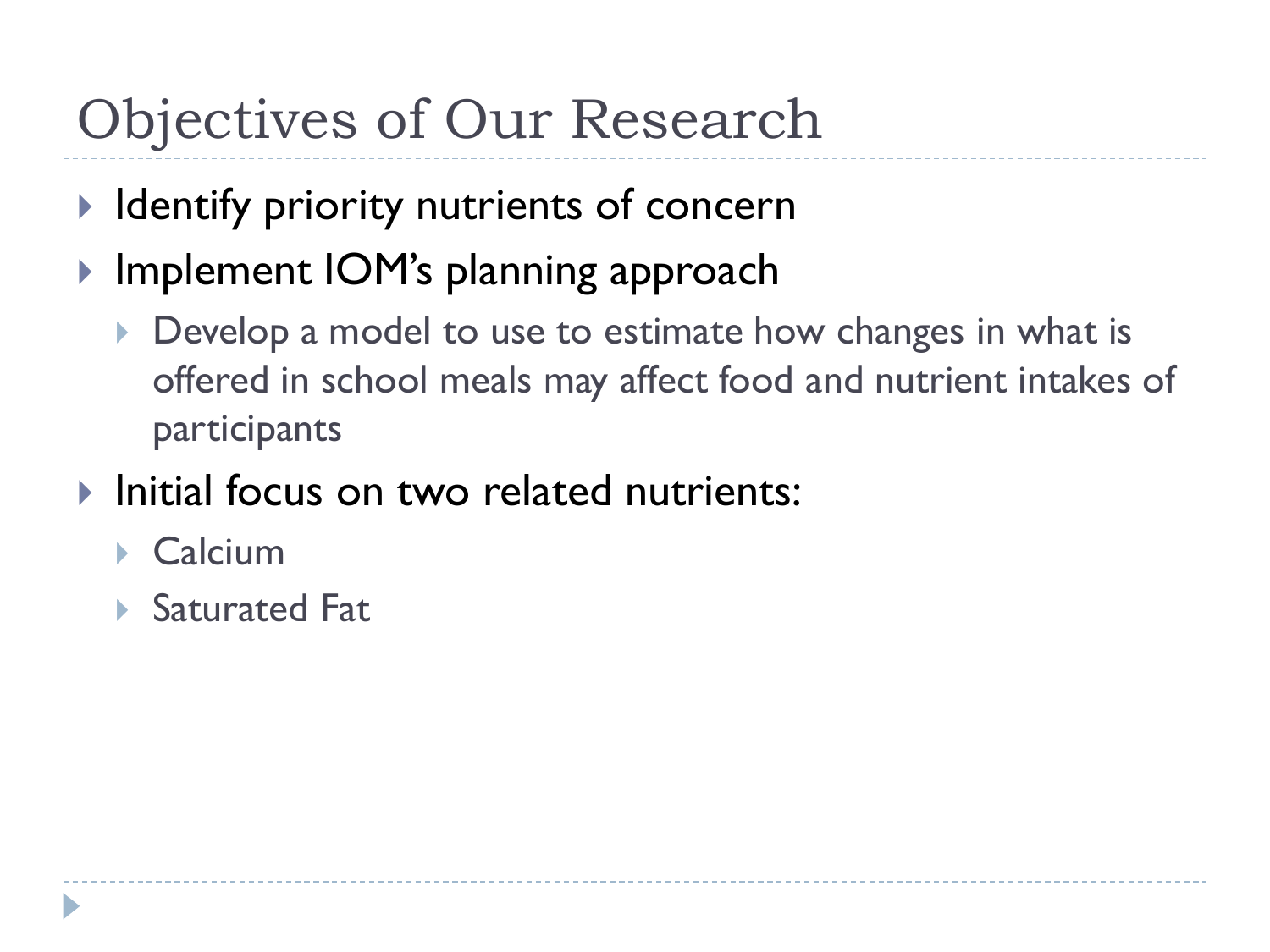# Objectives of Our Research

- $\blacktriangleright$  Identify priority nutrients of concern
- ▶ Implement IOM's planning approach
	- Develop a model to use to estimate how changes in what is offered in school meals may affect food and nutrient intakes of participants
- **Initial focus on two related nutrients:** 
	- ▶ Calcium
	- ▶ Saturated Fat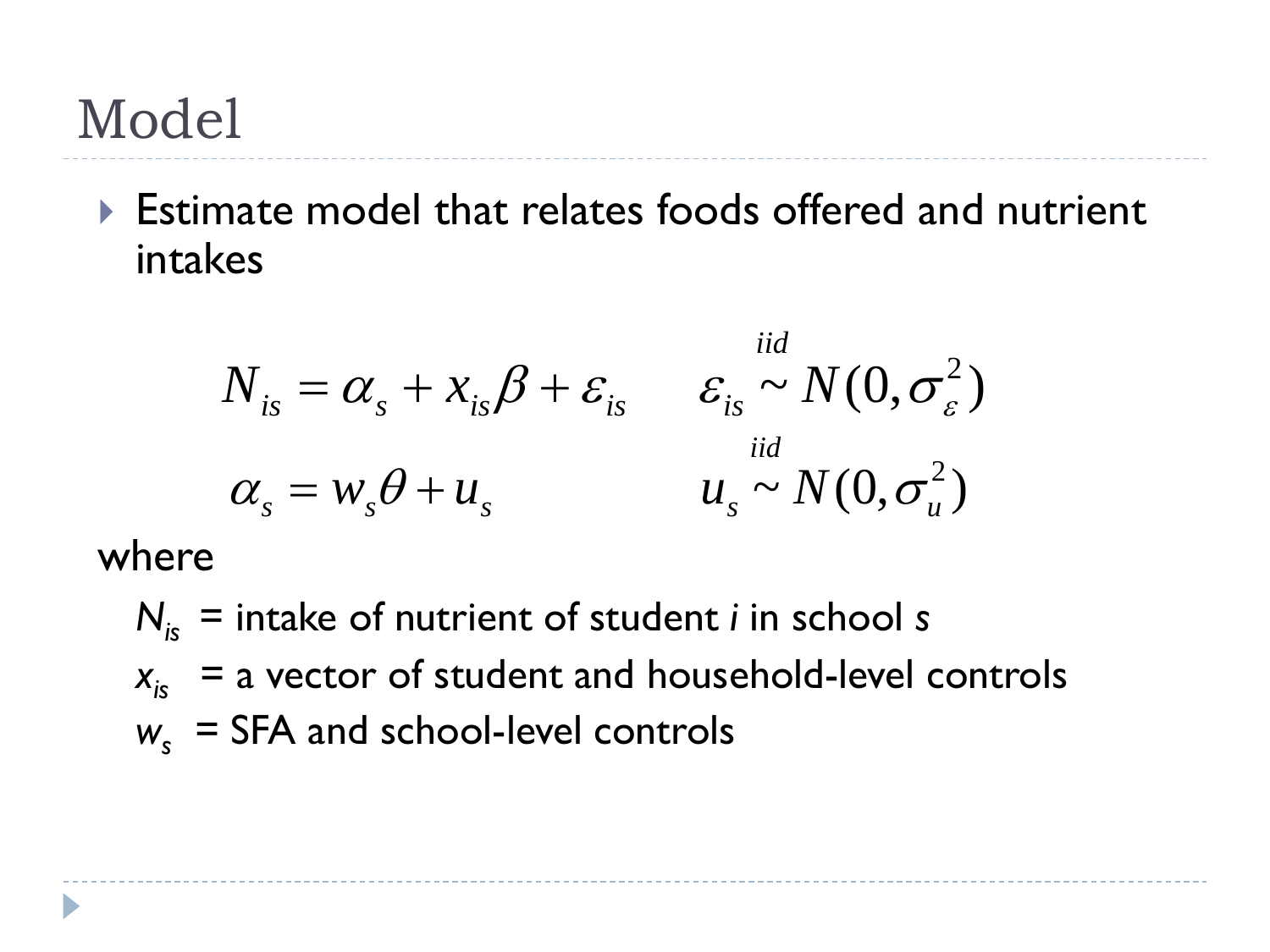Estimate model that relates foods offered and nutrient intakes

*iid*

$$
N_{is} = \alpha_s + x_{is}\beta + \varepsilon_{is} \qquad \varepsilon_{is} \sim N(0, \sigma_{\varepsilon}^2)
$$
  

$$
\alpha_s = w_s\theta + u_s \qquad \qquad u_s \sim N(0, \sigma_u^2)
$$

where

*Nis* = intake of nutrient of student *i* in school *s*  $x_{is}$  = a vector of student and household-level controls  $w_s$  = SFA and school-level controls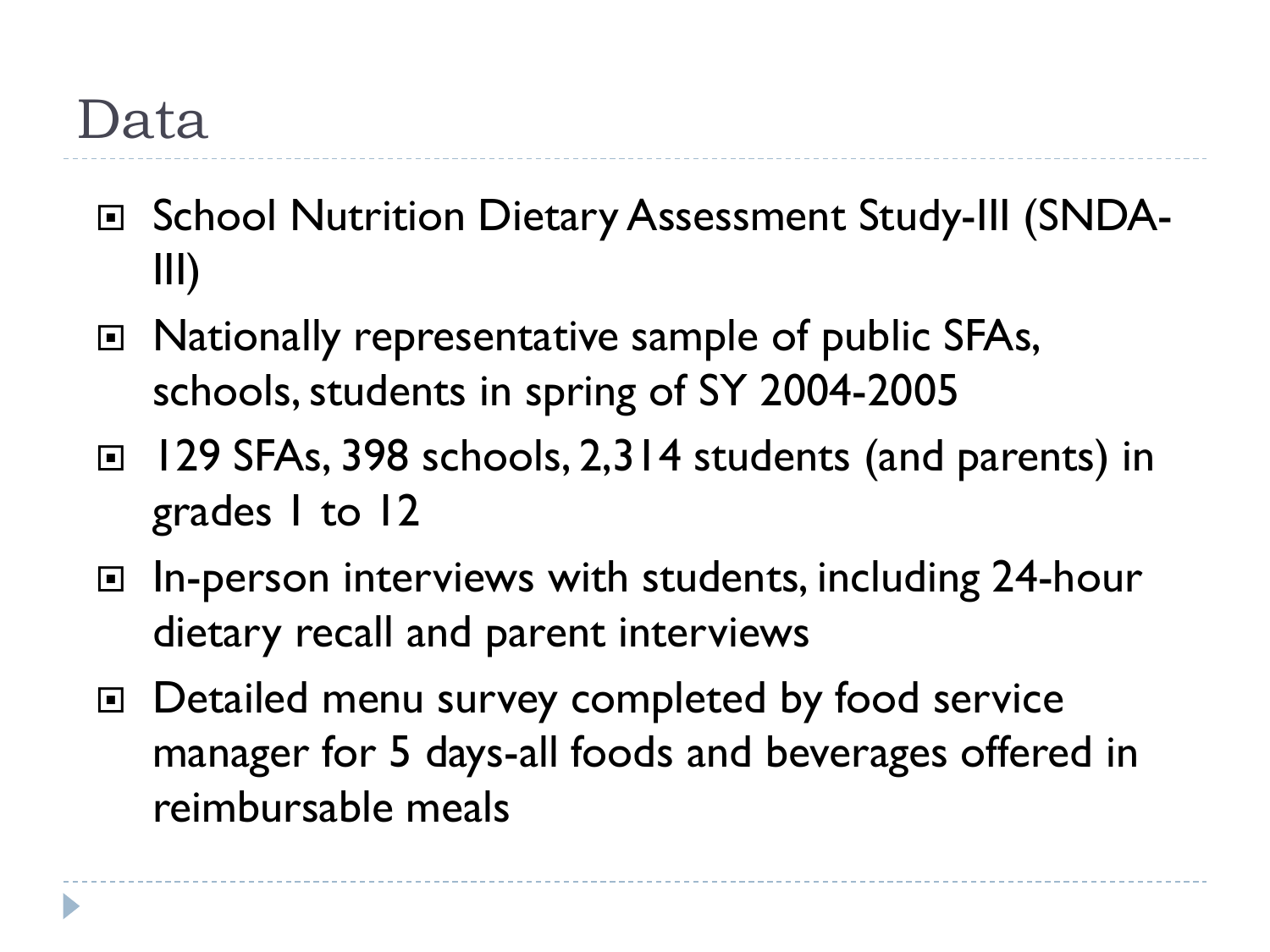## Data

- □ School Nutrition Dietary Assessment Study-III (SNDA-III)
- □ Nationally representative sample of public SFAs, schools, students in spring of SY 2004-2005
- □ 129 SFAs, 398 schools, 2,314 students (and parents) in grades 1 to 12
- □ In-person interviews with students, including 24-hour dietary recall and parent interviews
- □ Detailed menu survey completed by food service manager for 5 days-all foods and beverages offered in reimbursable meals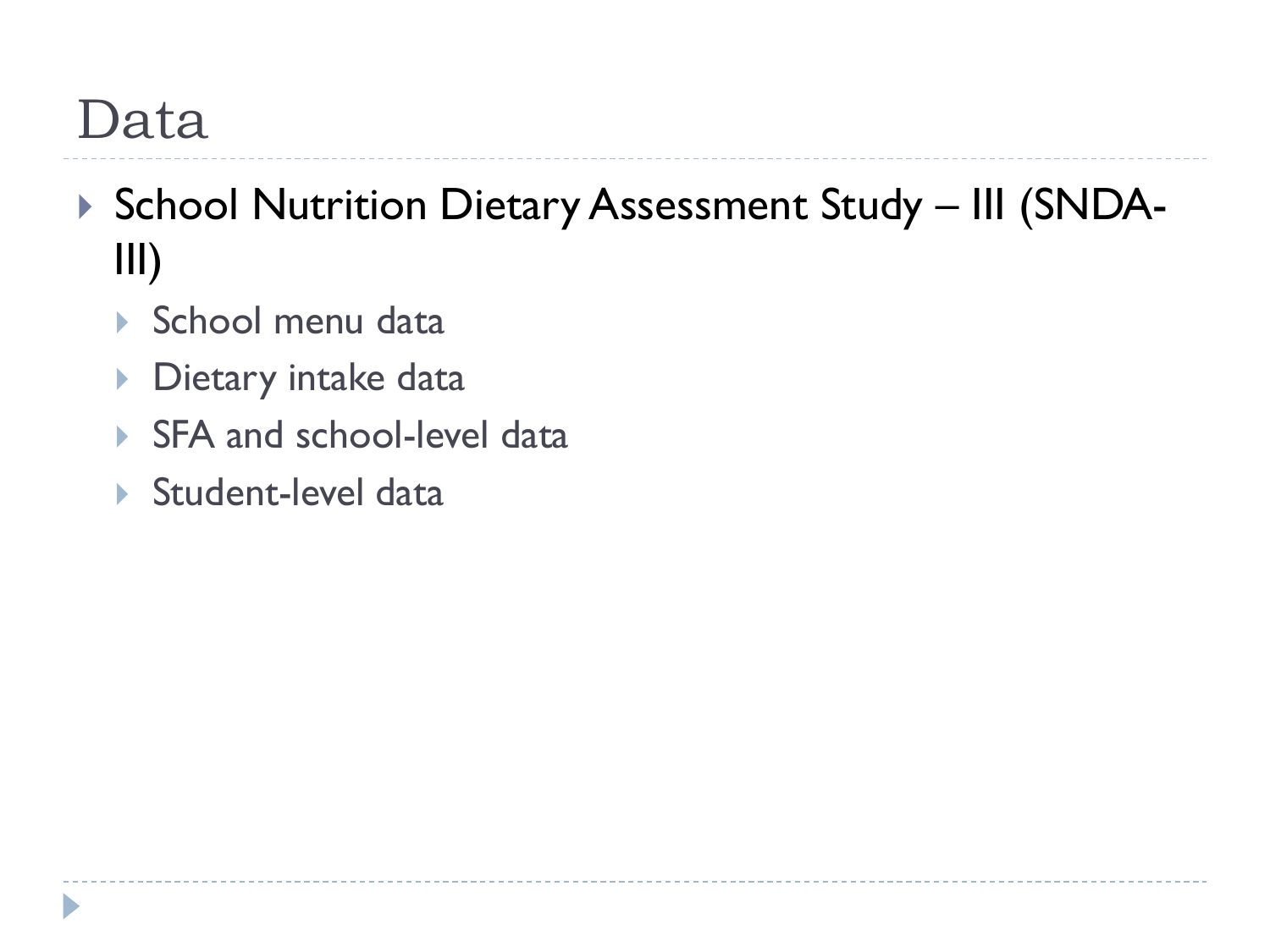# Data

- ▶ School Nutrition Dietary Assessment Study III (SNDA-III)
	- ▶ School menu data
	- **Dietary intake data**
	- ▶ SFA and school-level data
	- ▶ Student-level data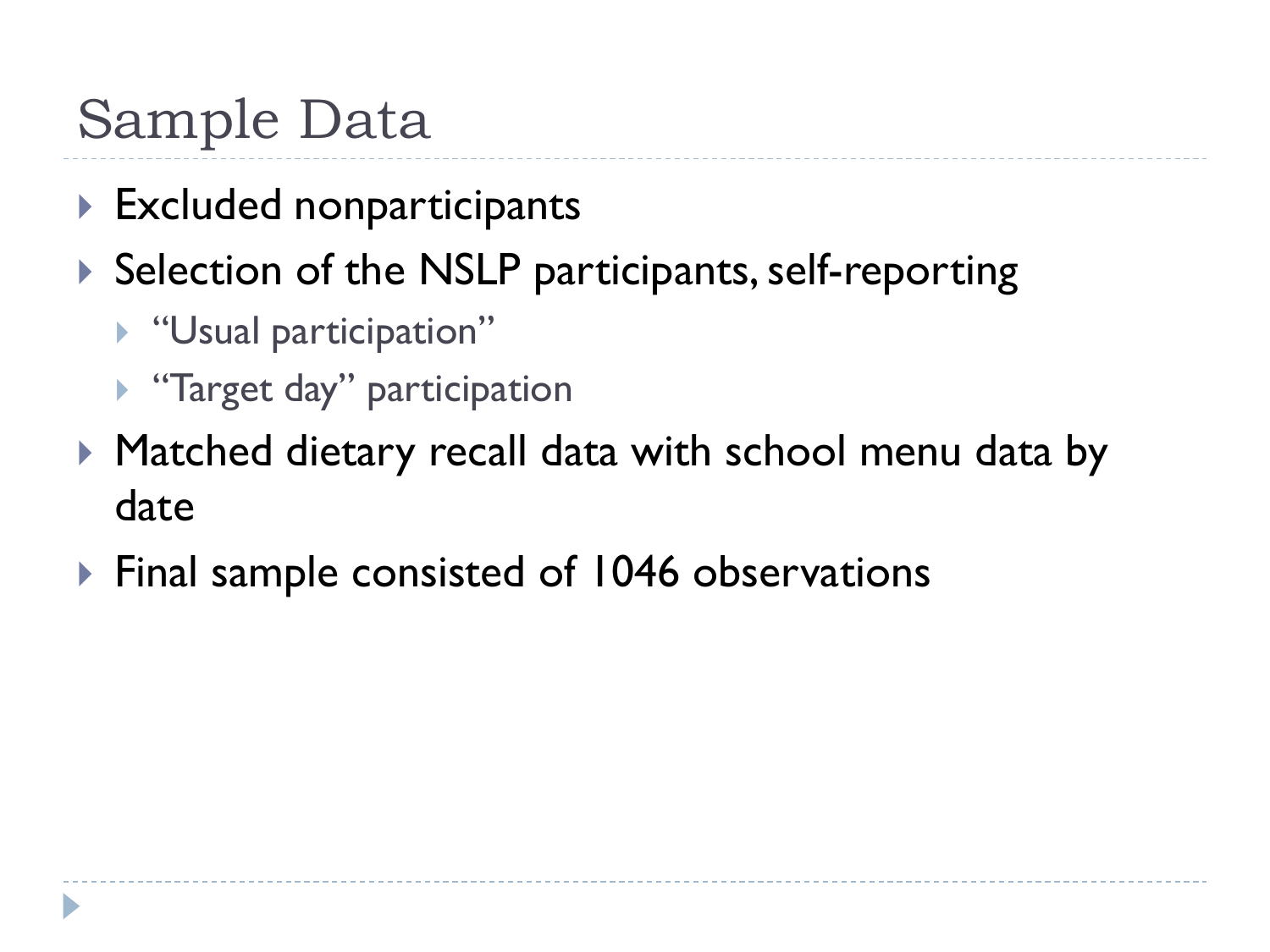# Sample Data

- ▶ Excluded nonparticipants
- $\triangleright$  Selection of the NSLP participants, self-reporting
	- **Waual participation"**
	- ▶ "Target day" participation
- ▶ Matched dietary recall data with school menu data by date
- ▶ Final sample consisted of 1046 observations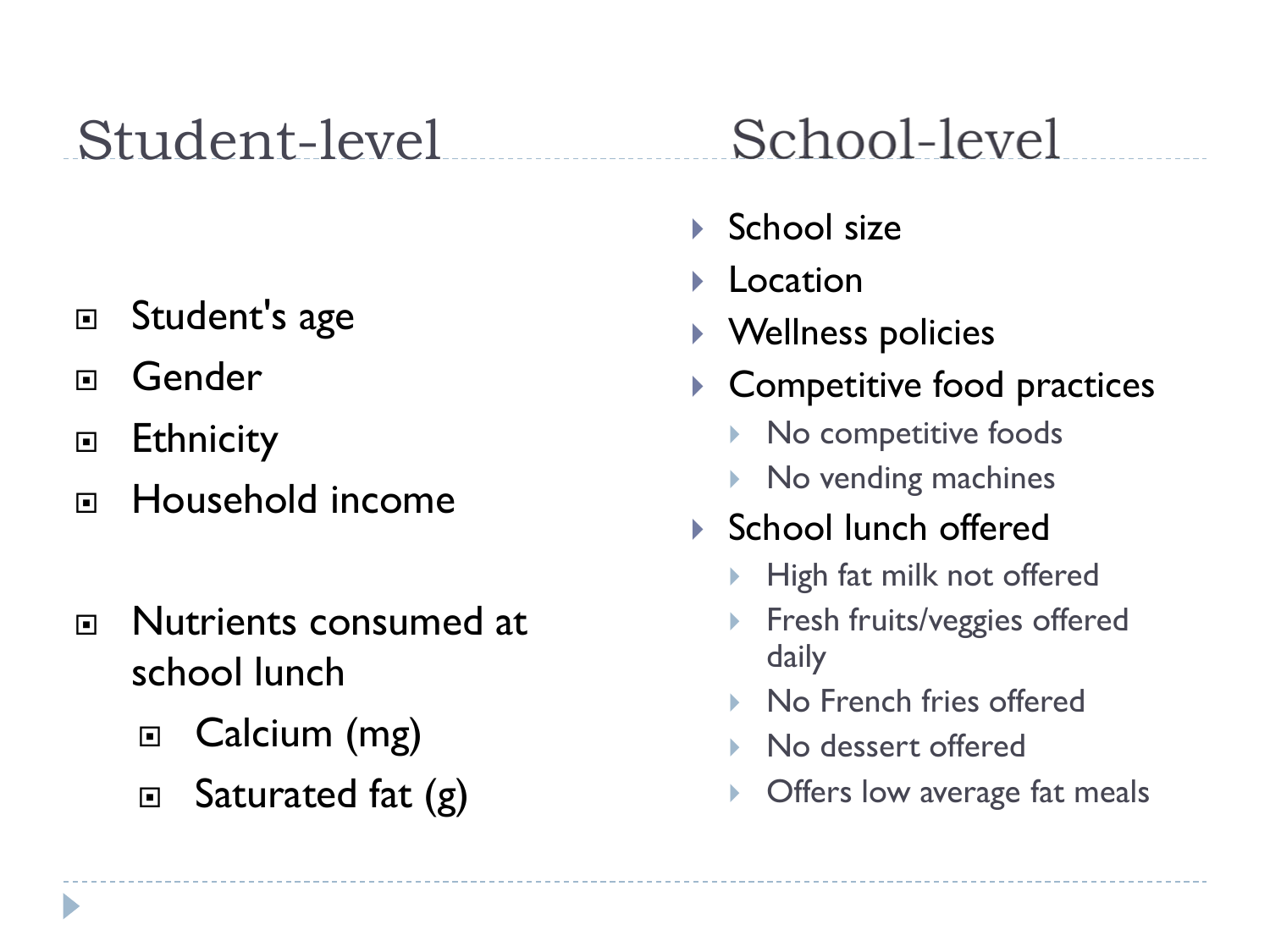# Student-level

- □ Student's age
- **□** Gender
- □ Ethnicity
- □ Household income
- n Nutrients consumed at school lunch
	- □ Calcium (mg)
	- □ Saturated fat (g)

# School-level

- $\blacktriangleright$  School size
- Location
- Wellness policies
- ▶ Competitive food practices
	- ▶ No competitive foods
	- ▶ No vending machines
- ▶ School lunch offered
	- High fat milk not offered
	- Fresh fruits/veggies offered daily
	- No French fries offered
	- No dessert offered
	- Offers low average fat meals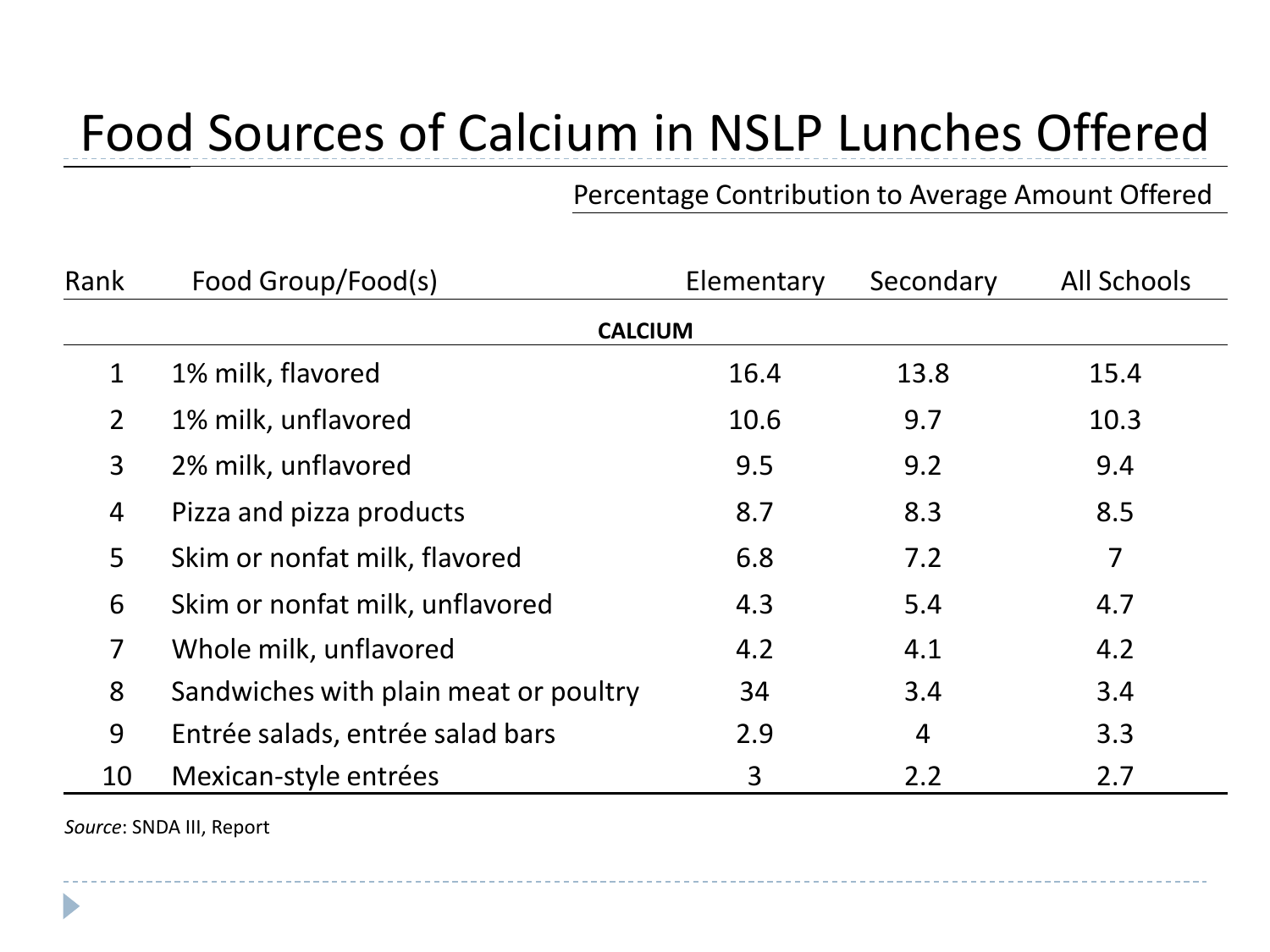# Food Sources of Calcium in NSLP Lunches Offered

#### Percentage Contribution to Average Amount Offered

| Rank           | Food Group/Food(s)                    | Elementary | Secondary      | <b>All Schools</b> |  |  |  |
|----------------|---------------------------------------|------------|----------------|--------------------|--|--|--|
|                | <b>CALCIUM</b>                        |            |                |                    |  |  |  |
| $\mathbf{1}$   | 1% milk, flavored                     | 16.4       | 13.8           | 15.4               |  |  |  |
| $\overline{2}$ | 1% milk, unflavored                   | 10.6       | 9.7            | 10.3               |  |  |  |
| $\overline{3}$ | 2% milk, unflavored                   | 9.5        | 9.2            | 9.4                |  |  |  |
| 4              | Pizza and pizza products              | 8.7        | 8.3            | 8.5                |  |  |  |
| 5              | Skim or nonfat milk, flavored         | 6.8        | 7.2            | $\overline{7}$     |  |  |  |
| 6              | Skim or nonfat milk, unflavored       | 4.3        | 5.4            | 4.7                |  |  |  |
| $\overline{7}$ | Whole milk, unflavored                | 4.2        | 4.1            | 4.2                |  |  |  |
| 8              | Sandwiches with plain meat or poultry | 34         | 3.4            | 3.4                |  |  |  |
| 9              | Entrée salads, entrée salad bars      | 2.9        | $\overline{4}$ | 3.3                |  |  |  |
| 10             | Mexican-style entrées                 | 3          | 2.2            | 2.7                |  |  |  |

*Source*: SNDA III, Report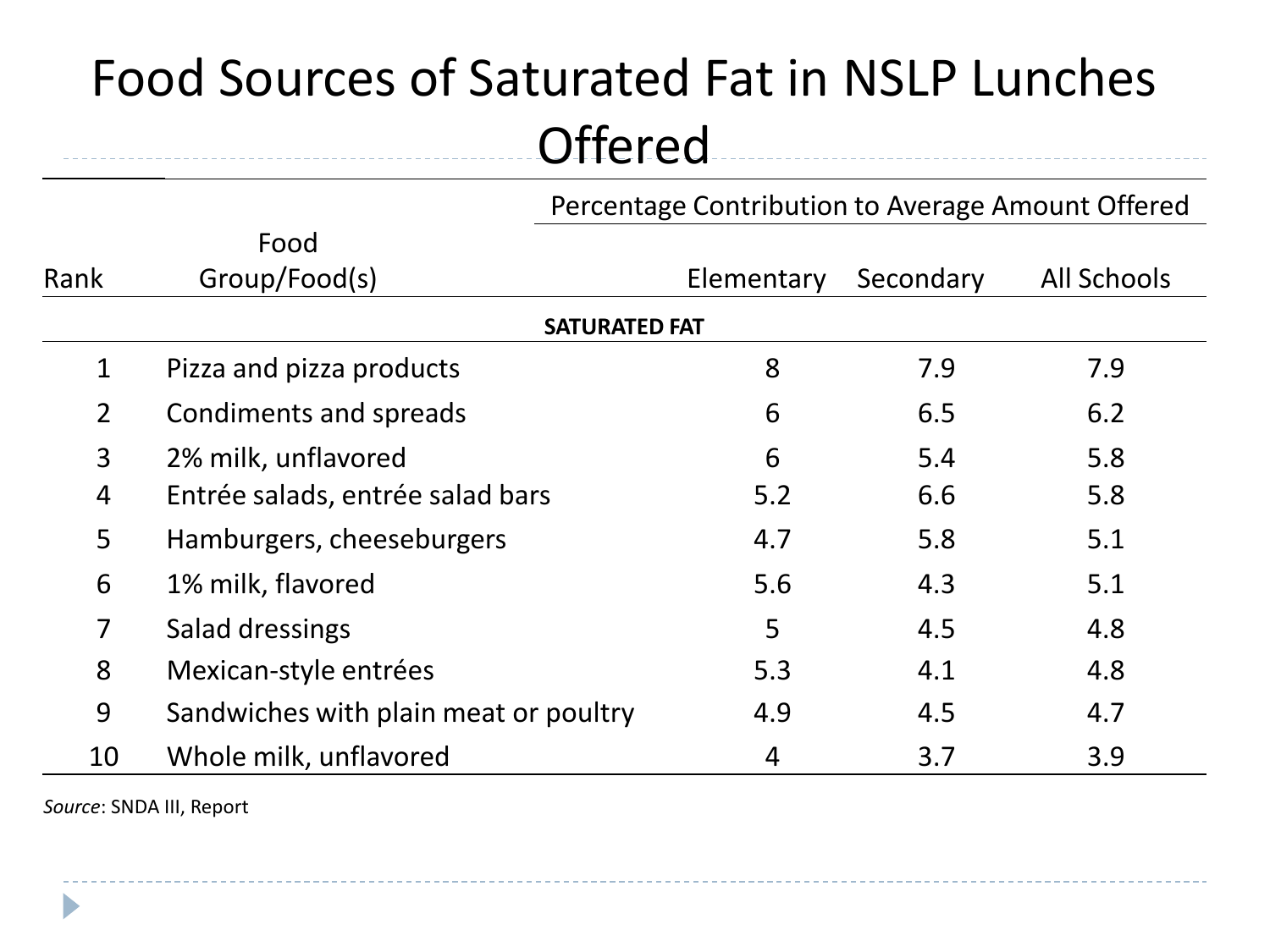# Food Sources of Saturated Fat in NSLP Lunches **Offered**

Percentage Contribution to Average Amount Offered

|                      | Food                                  |            |           |                    |  |  |  |
|----------------------|---------------------------------------|------------|-----------|--------------------|--|--|--|
| Rank                 | Group/Food(s)                         | Elementary | Secondary | <b>All Schools</b> |  |  |  |
| <b>SATURATED FAT</b> |                                       |            |           |                    |  |  |  |
| $\mathbf{1}$         | Pizza and pizza products              | 8          | 7.9       | 7.9                |  |  |  |
| $2^{\circ}$          | Condiments and spreads                | 6          | 6.5       | 6.2                |  |  |  |
| $\overline{3}$       | 2% milk, unflavored                   | 6          | 5.4       | 5.8                |  |  |  |
| 4                    | Entrée salads, entrée salad bars      | 5.2        | 6.6       | 5.8                |  |  |  |
| 5                    | Hamburgers, cheeseburgers             | 4.7        | 5.8       | 5.1                |  |  |  |
| 6                    | 1% milk, flavored                     | 5.6        | 4.3       | 5.1                |  |  |  |
| $\overline{7}$       | Salad dressings                       | 5          | 4.5       | 4.8                |  |  |  |
| 8                    | Mexican-style entrées                 | 5.3        | 4.1       | 4.8                |  |  |  |
| 9                    | Sandwiches with plain meat or poultry | 4.9        | 4.5       | 4.7                |  |  |  |
| 10                   | Whole milk, unflavored                | 4          | 3.7       | 3.9                |  |  |  |

*Source*: SNDA III, Report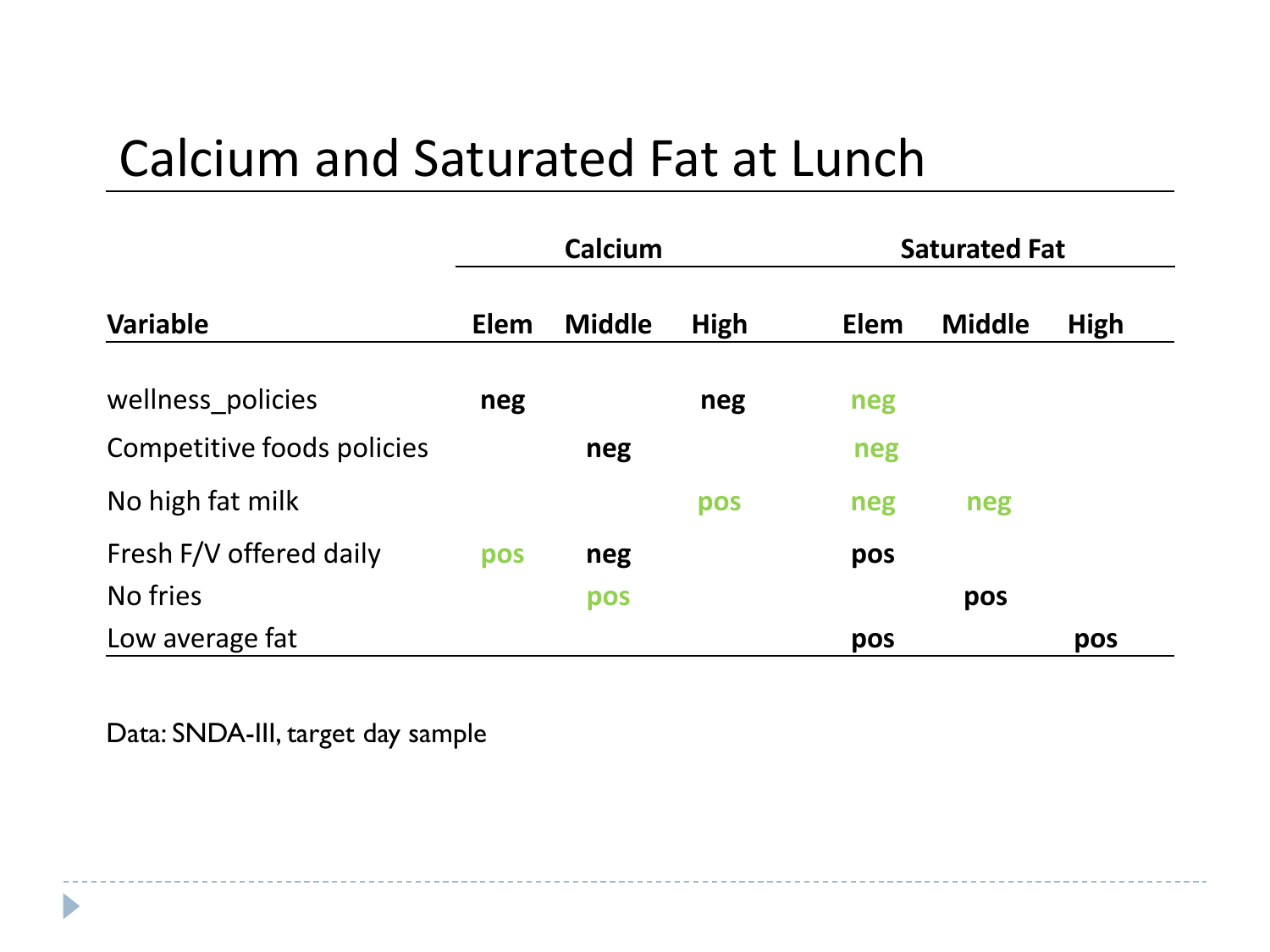#### Calcium and Saturated Fat at Lunch

|                            | Calcium |               |      | <b>Saturated Fat</b> |               |      |
|----------------------------|---------|---------------|------|----------------------|---------------|------|
| <b>Variable</b>            | Elem    | <b>Middle</b> | High | Elem                 | <b>Middle</b> | High |
| wellness_policies          | neg     |               | neg  | neg                  |               |      |
| Competitive foods policies |         | neg           |      | neg                  |               |      |
| No high fat milk           |         |               | pos  | neg                  | neg           |      |
| Fresh F/V offered daily    | pos     | neg           |      | pos                  |               |      |
| No fries                   |         | pos           |      |                      | pos           |      |
| Low average fat            |         |               |      | pos                  |               | pos  |

Data: SNDA-III, target day sample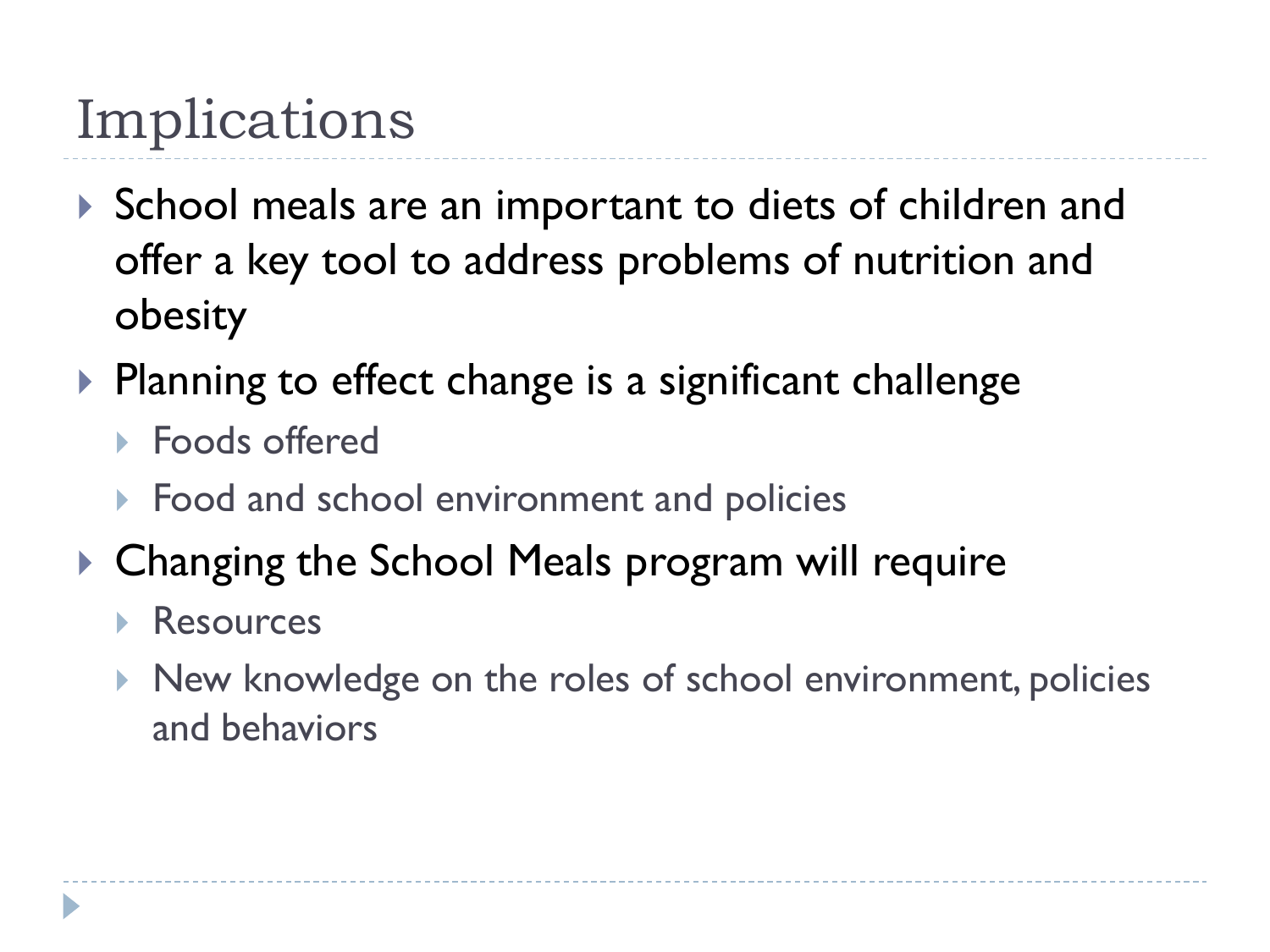# Implications

- ▶ School meals are an important to diets of children and offer a key tool to address problems of nutrition and obesity
- $\triangleright$  Planning to effect change is a significant challenge
	- ▶ Foods offered
	- ▶ Food and school environment and policies
- ▶ Changing the School Meals program will require
	- Resources
	- ▶ New knowledge on the roles of school environment, policies and behaviors